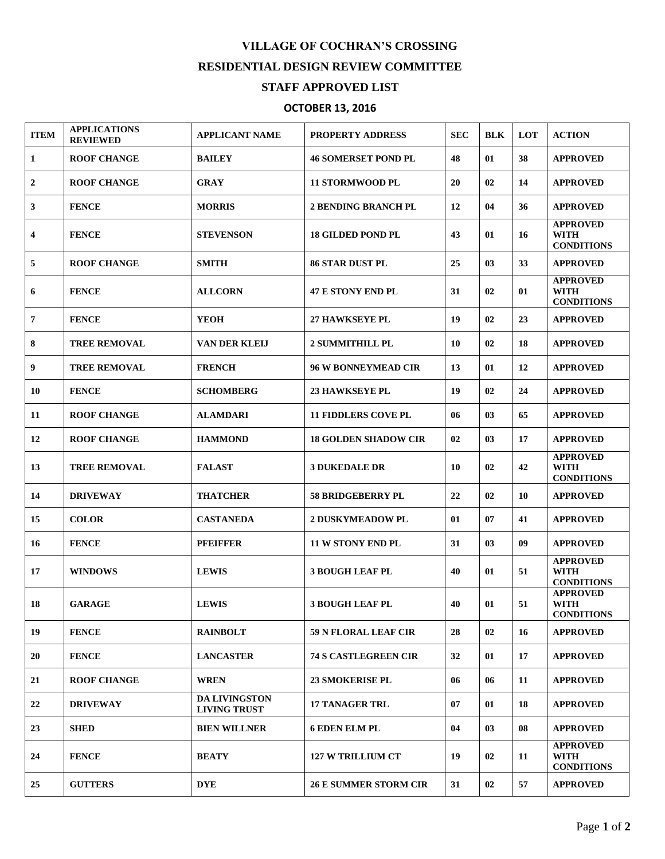## **VILLAGE OF COCHRAN'S CROSSING RESIDENTIAL DESIGN REVIEW COMMITTEE STAFF APPROVED LIST**

## **OCTOBER 13, 2016**

| <b>ITEM</b>             | <b>APPLICATIONS</b><br><b>REVIEWED</b> | <b>APPLICANT NAME</b>                       | <b>PROPERTY ADDRESS</b>      | <b>SEC</b> | <b>BLK</b> | LOT | <b>ACTION</b>                                       |
|-------------------------|----------------------------------------|---------------------------------------------|------------------------------|------------|------------|-----|-----------------------------------------------------|
| 1                       | <b>ROOF CHANGE</b>                     | <b>BAILEY</b>                               | <b>46 SOMERSET POND PL</b>   | 48         | 01         | 38  | <b>APPROVED</b>                                     |
| $\boldsymbol{2}$        | <b>ROOF CHANGE</b>                     | <b>GRAY</b>                                 | <b>11 STORMWOOD PL</b>       | 20         | 02         | 14  | <b>APPROVED</b>                                     |
| 3                       | <b>FENCE</b>                           | <b>MORRIS</b>                               | <b>2 BENDING BRANCH PL</b>   | 12         | 04         | 36  | <b>APPROVED</b>                                     |
| $\overline{\mathbf{4}}$ | <b>FENCE</b>                           | <b>STEVENSON</b>                            | <b>18 GILDED POND PL</b>     | 43         | 01         | 16  | <b>APPROVED</b><br><b>WITH</b><br><b>CONDITIONS</b> |
| 5                       | <b>ROOF CHANGE</b>                     | <b>SMITH</b>                                | <b>86 STAR DUST PL</b>       | 25         | 03         | 33  | <b>APPROVED</b>                                     |
| 6                       | <b>FENCE</b>                           | <b>ALLCORN</b>                              | <b>47 E STONY END PL</b>     | 31         | 02         | 01  | <b>APPROVED</b><br><b>WITH</b><br><b>CONDITIONS</b> |
| $\overline{7}$          | <b>FENCE</b>                           | <b>YEOH</b>                                 | <b>27 HAWKSEYE PL</b>        | 19         | 02         | 23  | <b>APPROVED</b>                                     |
| 8                       | <b>TREE REMOVAL</b>                    | VAN DER KLEIJ                               | <b>2 SUMMITHILL PL</b>       | 10         | 02         | 18  | <b>APPROVED</b>                                     |
| 9                       | <b>TREE REMOVAL</b>                    | <b>FRENCH</b>                               | <b>96 W BONNEYMEAD CIR</b>   | 13         | 01         | 12  | <b>APPROVED</b>                                     |
| 10                      | <b>FENCE</b>                           | <b>SCHOMBERG</b>                            | <b>23 HAWKSEYE PL</b>        | 19         | 02         | 24  | <b>APPROVED</b>                                     |
| 11                      | <b>ROOF CHANGE</b>                     | <b>ALAMDARI</b>                             | <b>11 FIDDLERS COVE PL</b>   | 06         | 03         | 65  | <b>APPROVED</b>                                     |
| 12                      | <b>ROOF CHANGE</b>                     | <b>HAMMOND</b>                              | <b>18 GOLDEN SHADOW CIR</b>  | 02         | 03         | 17  | <b>APPROVED</b>                                     |
| 13                      | <b>TREE REMOVAL</b>                    | <b>FALAST</b>                               | <b>3 DUKEDALE DR</b>         | 10         | 02         | 42  | <b>APPROVED</b><br><b>WITH</b><br><b>CONDITIONS</b> |
| 14                      | <b>DRIVEWAY</b>                        | <b>THATCHER</b>                             | <b>58 BRIDGEBERRY PL</b>     | 22         | 02         | 10  | <b>APPROVED</b>                                     |
| 15                      | <b>COLOR</b>                           | <b>CASTANEDA</b>                            | <b>2 DUSKYMEADOW PL</b>      | 01         | 07         | 41  | <b>APPROVED</b>                                     |
| 16                      | <b>FENCE</b>                           | <b>PFEIFFER</b>                             | <b>11 W STONY END PL</b>     | 31         | 03         | 09  | <b>APPROVED</b>                                     |
| 17                      | <b>WINDOWS</b>                         | <b>LEWIS</b>                                | <b>3 BOUGH LEAF PL</b>       | 40         | 01         | 51  | <b>APPROVED</b><br><b>WITH</b><br><b>CONDITIONS</b> |
| 18                      | <b>GARAGE</b>                          | <b>LEWIS</b>                                | <b>3 BOUGH LEAF PL</b>       | 40         | 01         | 51  | <b>APPROVED</b><br>WITH<br><b>CONDITIONS</b>        |
| 19                      | <b>FENCE</b>                           | <b>RAINBOLT</b>                             | 59 N FLORAL LEAF CIR         | 28         | 02         | 16  | <b>APPROVED</b>                                     |
| 20                      | <b>FENCE</b>                           | <b>LANCASTER</b>                            | <b>74 S CASTLEGREEN CIR</b>  | 32         | 01         | 17  | <b>APPROVED</b>                                     |
| 21                      | <b>ROOF CHANGE</b>                     | <b>WREN</b>                                 | <b>23 SMOKERISE PL</b>       | 06         | 06         | 11  | <b>APPROVED</b>                                     |
| 22                      | <b>DRIVEWAY</b>                        | <b>DA LIVINGSTON</b><br><b>LIVING TRUST</b> | <b>17 TANAGER TRL</b>        | 07         | 01         | 18  | <b>APPROVED</b>                                     |
| 23                      | <b>SHED</b>                            | <b>BIEN WILLNER</b>                         | <b>6 EDEN ELM PL</b>         | 04         | 03         | 08  | <b>APPROVED</b>                                     |
| 24                      | <b>FENCE</b>                           | <b>BEATY</b>                                | <b>127 W TRILLIUM CT</b>     | 19         | 02         | 11  | <b>APPROVED</b><br><b>WITH</b><br><b>CONDITIONS</b> |
| 25                      | <b>GUTTERS</b>                         | <b>DYE</b>                                  | <b>26 E SUMMER STORM CIR</b> | 31         | 02         | 57  | <b>APPROVED</b>                                     |